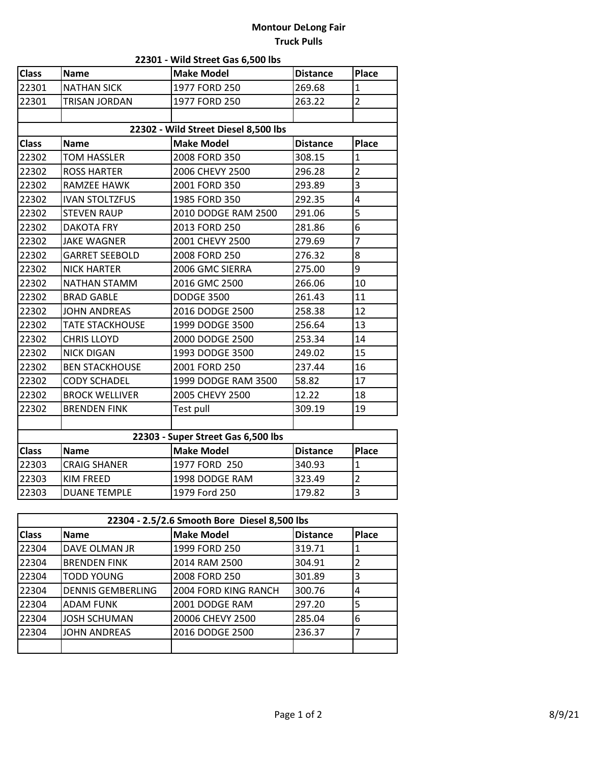## **Montour DeLong Fair Truck Pulls**

| 22301 - Wild Street Gas 6,500 lbs    |                        |                                    |                 |                |  |  |  |
|--------------------------------------|------------------------|------------------------------------|-----------------|----------------|--|--|--|
| <b>Class</b>                         | <b>Name</b>            | <b>Make Model</b>                  | <b>Distance</b> | <b>Place</b>   |  |  |  |
| 22301                                | <b>NATHAN SICK</b>     | 1977 FORD 250                      | 269.68          | $\mathbf{1}$   |  |  |  |
| 22301                                | <b>TRISAN JORDAN</b>   | 1977 FORD 250                      | 263.22          | $\overline{2}$ |  |  |  |
|                                      |                        |                                    |                 |                |  |  |  |
| 22302 - Wild Street Diesel 8,500 lbs |                        |                                    |                 |                |  |  |  |
| <b>Class</b>                         | <b>Name</b>            | <b>Make Model</b>                  | <b>Distance</b> | Place          |  |  |  |
| 22302                                | <b>TOM HASSLER</b>     | 2008 FORD 350                      | 308.15          | $\mathbf{1}$   |  |  |  |
| 22302                                | <b>ROSS HARTER</b>     | 2006 CHEVY 2500                    | 296.28          | $\overline{2}$ |  |  |  |
| 22302                                | RAMZEE HAWK            | 2001 FORD 350                      | 293.89          | 3              |  |  |  |
| 22302                                | <b>IVAN STOLTZFUS</b>  | 1985 FORD 350                      | 292.35          | 4              |  |  |  |
| 22302                                | <b>STEVEN RAUP</b>     | 2010 DODGE RAM 2500                | 291.06          | 5              |  |  |  |
| 22302                                | <b>DAKOTA FRY</b>      | 2013 FORD 250                      | 281.86          | 6              |  |  |  |
| 22302                                | <b>JAKE WAGNER</b>     | 2001 CHEVY 2500                    | 279.69          | 7              |  |  |  |
| 22302                                | <b>GARRET SEEBOLD</b>  | 2008 FORD 250                      | 276.32          | 8              |  |  |  |
| 22302                                | <b>NICK HARTER</b>     | 2006 GMC SIERRA                    | 275.00          | 9              |  |  |  |
| 22302                                | <b>NATHAN STAMM</b>    | 2016 GMC 2500                      | 266.06          | 10             |  |  |  |
| 22302                                | <b>BRAD GABLE</b>      | <b>DODGE 3500</b>                  | 261.43          | 11             |  |  |  |
| 22302                                | <b>JOHN ANDREAS</b>    | 2016 DODGE 2500                    | 258.38          | 12             |  |  |  |
| 22302                                | <b>TATE STACKHOUSE</b> | 1999 DODGE 3500                    | 256.64          | 13             |  |  |  |
| 22302                                | <b>CHRIS LLOYD</b>     | 2000 DODGE 2500                    | 253.34          | 14             |  |  |  |
| 22302                                | <b>NICK DIGAN</b>      | 1993 DODGE 3500                    | 249.02          | 15             |  |  |  |
| 22302                                | <b>BEN STACKHOUSE</b>  | 2001 FORD 250                      | 237.44          | 16             |  |  |  |
| 22302                                | <b>CODY SCHADEL</b>    | 1999 DODGE RAM 3500                | 58.82           | 17             |  |  |  |
| 22302                                | <b>BROCK WELLIVER</b>  | 2005 CHEVY 2500                    | 12.22           | 18             |  |  |  |
| 22302                                | <b>BRENDEN FINK</b>    | Test pull                          | 309.19          | 19             |  |  |  |
|                                      |                        |                                    |                 |                |  |  |  |
|                                      |                        | 22303 - Super Street Gas 6,500 lbs |                 |                |  |  |  |
| <b>Class</b>                         | <b>Name</b>            | <b>Make Model</b>                  | <b>Distance</b> | <b>Place</b>   |  |  |  |
| 22303                                | <b>CRAIG SHANER</b>    | 1977 FORD 250                      | 340.93          | $\mathbf{1}$   |  |  |  |
| 22303                                | <b>KIM FREED</b>       | 1998 DODGE RAM                     | 323.49          | $\overline{2}$ |  |  |  |
| 22303                                | <b>DUANE TEMPLE</b>    | 1979 Ford 250                      | 179.82          | $\overline{3}$ |  |  |  |

|  |  |  |  | 22301 - Wild Street Gas 6,500 lbs |
|--|--|--|--|-----------------------------------|
|--|--|--|--|-----------------------------------|

| 22304 - 2.5/2.6 Smooth Bore Diesel 8,500 lbs |                          |                             |                 |       |  |
|----------------------------------------------|--------------------------|-----------------------------|-----------------|-------|--|
| <b>Class</b>                                 | <b>Name</b>              | <b>Make Model</b>           | <b>Distance</b> | Place |  |
| 22304                                        | DAVE OLMAN JR            | 1999 FORD 250               | 319.71          |       |  |
| 22304                                        | <b>BRENDEN FINK</b>      | 2014 RAM 2500               | 304.91          |       |  |
| 22304                                        | <b>TODD YOUNG</b>        | 2008 FORD 250               | 301.89          | 3     |  |
| 22304                                        | <b>DENNIS GEMBERLING</b> | <b>2004 FORD KING RANCH</b> | 300.76          | 4     |  |
| 22304                                        | <b>ADAM FUNK</b>         | 2001 DODGE RAM              | 297.20          | 5     |  |
| 22304                                        | <b>JOSH SCHUMAN</b>      | 20006 CHEVY 2500            | 285.04          | 6     |  |
| 22304                                        | <b>JOHN ANDREAS</b>      | 2016 DODGE 2500             | 236.37          |       |  |
|                                              |                          |                             |                 |       |  |